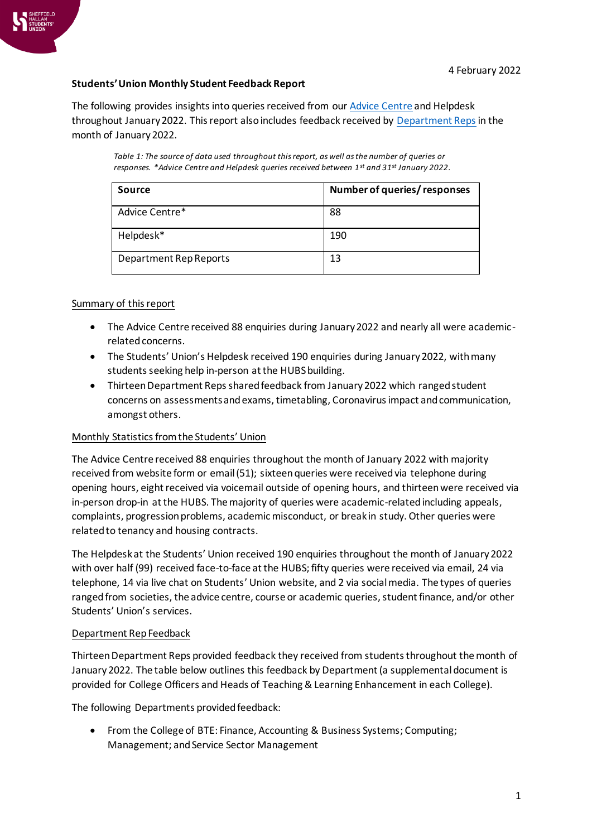

## **Students' Union Monthly Student Feedback Report**

The following provides insights into queries received from ou[r Advice Centre](https://www.hallamstudentsunion.com/advice_help/) and Helpdesk throughout January 2022. This report also includes feedback received by [Department Reps](https://www.hallamstudentsunion.com/representation/academicinterests/departmentreps/) in the month of January 2022.

*Table 1: The source of data used throughout this report, as well as the number of queries or responses. \*Advice Centre and Helpdesk queries received between 1st and 31st January 2022.*

| Source                 | Number of queries/responses |
|------------------------|-----------------------------|
| Advice Centre*         | 88                          |
| Helpdesk*              | 190                         |
| Department Rep Reports | 13                          |

## Summary of this report

- The Advice Centre received 88 enquiries during January 2022 and nearly all were academicrelated concerns.
- The Students' Union's Helpdesk received 190 enquiries during January 2022, with many students seeking help in-person at the HUBS building.
- Thirteen Department Reps shared feedback from January 2022 which ranged student concerns on assessments and exams, timetabling, Coronavirus impact and communication, amongst others.

## Monthly Statistics from the Students' Union

The Advice Centre received 88 enquiries throughout the month of January 2022 with majority received from website form or email (51); sixteen queries were received via telephone during opening hours, eight received via voicemail outside of opening hours, and thirteen were received via in-person drop-in at the HUBS. The majority of queries were academic-related including appeals, complaints, progression problems, academic misconduct, or break in study. Other queries were related to tenancy and housing contracts.

The Helpdesk at the Students' Union received 190 enquiries throughout the month of January 2022 with over half (99) received face-to-face at the HUBS; fifty queries were received via email, 24 via telephone, 14 via live chat on Students' Union website, and 2 via social media. The types of queries ranged from societies, the advice centre, course or academic queries, student finance, and/or other Students' Union's services.

## Department Rep Feedback

Thirteen Department Reps provided feedback they received from students throughout the month of January 2022. The table below outlines this feedback by Department (a supplemental document is provided for College Officers and Heads of Teaching & Learning Enhancement in each College).

The following Departments provided feedback:

• From the College of BTE: Finance, Accounting & Business Systems; Computing; Management; and Service Sector Management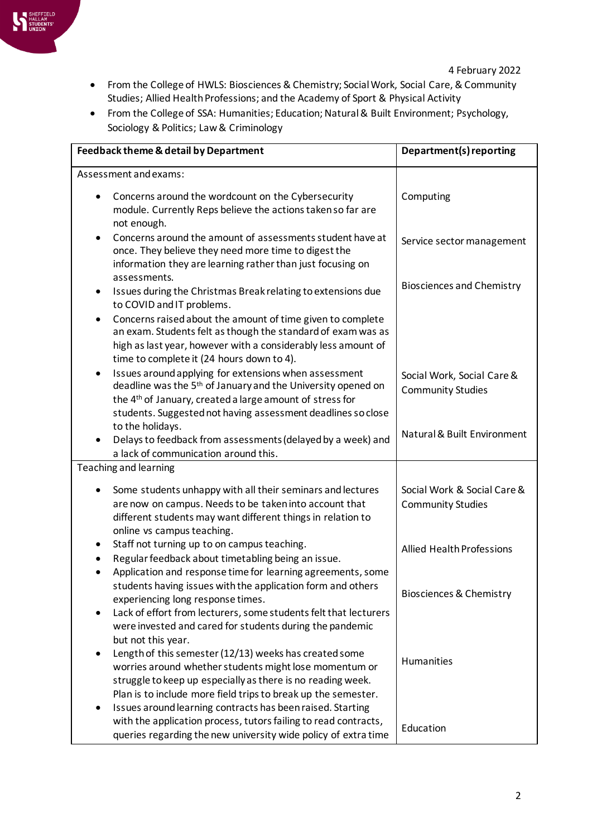- From the College of HWLS: Biosciences & Chemistry; Social Work, Social Care, & Community Studies; Allied Health Professions; and the Academy of Sport & Physical Activity
- From the College of SSA: Humanities; Education; Natural & Built Environment; Psychology, Sociology & Politics; Law & Criminology

| Feedback theme & detail by Department                                                                                                                                                                                                                                          | Department(s) reporting                                 |  |
|--------------------------------------------------------------------------------------------------------------------------------------------------------------------------------------------------------------------------------------------------------------------------------|---------------------------------------------------------|--|
| Assessment and exams:                                                                                                                                                                                                                                                          |                                                         |  |
| Concerns around the wordcount on the Cybersecurity<br>٠<br>module. Currently Reps believe the actions taken so far are<br>not enough.                                                                                                                                          | Computing                                               |  |
| Concerns around the amount of assessments student have at<br>$\bullet$<br>once. They believe they need more time to digest the<br>information they are learning rather than just focusing on                                                                                   | Service sector management                               |  |
| assessments.<br>Issues during the Christmas Break relating to extensions due<br>٠<br>to COVID and IT problems.                                                                                                                                                                 | <b>Biosciences and Chemistry</b>                        |  |
| Concerns raised about the amount of time given to complete<br>$\bullet$<br>an exam. Students felt as though the standard of exam was as<br>high as last year, however with a considerably less amount of<br>time to complete it (24 hours down to 4).                          |                                                         |  |
| Issues around applying for extensions when assessment<br>٠<br>deadline was the 5 <sup>th</sup> of January and the University opened on<br>the 4 <sup>th</sup> of January, created a large amount of stress for<br>students. Suggested not having assessment deadlines so close | Social Work, Social Care &<br><b>Community Studies</b>  |  |
| to the holidays.<br>Delays to feedback from assessments (delayed by a week) and<br>a lack of communication around this.                                                                                                                                                        | Natural & Built Environment                             |  |
| Teaching and learning                                                                                                                                                                                                                                                          |                                                         |  |
| Some students unhappy with all their seminars and lectures<br>are now on campus. Needs to be taken into account that<br>different students may want different things in relation to<br>online vs campus teaching.                                                              | Social Work & Social Care &<br><b>Community Studies</b> |  |
| Staff not turning up to on campus teaching.<br>Regular feedback about timetabling being an issue.                                                                                                                                                                              | <b>Allied Health Professions</b>                        |  |
| Application and response time for learning agreements, some<br>students having issues with the application form and others<br>experiencing long response times.                                                                                                                | <b>Biosciences &amp; Chemistry</b>                      |  |
| Lack of effort from lecturers, some students felt that lecturers<br>$\bullet$<br>were invested and cared for students during the pandemic<br>but not this year.                                                                                                                |                                                         |  |
| Length of this semester (12/13) weeks has created some<br>worries around whether students might lose momentum or<br>struggle to keep up especially as there is no reading week.<br>Plan is to include more field trips to break up the semester.                               | Humanities                                              |  |
| Issues around learning contracts has been raised. Starting<br>with the application process, tutors failing to read contracts,<br>queries regarding the new university wide policy of extra time                                                                                | Education                                               |  |